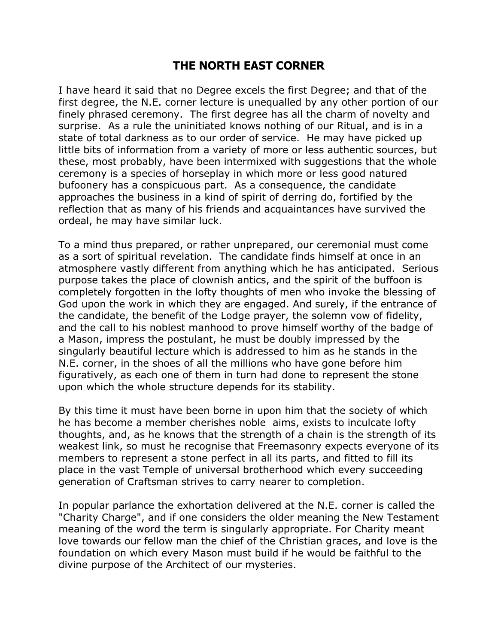## **THE NORTH EAST CORNER**

I have heard it said that no Degree excels the first Degree; and that of the first degree, the N.E. corner lecture is unequalled by any other portion of our finely phrased ceremony. The first degree has all the charm of novelty and surprise. As a rule the uninitiated knows nothing of our Ritual, and is in a state of total darkness as to our order of service. He may have picked up little bits of information from a variety of more or less authentic sources, but these, most probably, have been intermixed with suggestions that the whole ceremony is a species of horseplay in which more or less good natured bufoonery has a conspicuous part. As a consequence, the candidate approaches the business in a kind of spirit of derring do, fortified by the reflection that as many of his friends and acquaintances have survived the ordeal, he may have similar luck.

To a mind thus prepared, or rather unprepared, our ceremonial must come as a sort of spiritual revelation. The candidate finds himself at once in an atmosphere vastly different from anything which he has anticipated. Serious purpose takes the place of clownish antics, and the spirit of the buffoon is completely forgotten in the lofty thoughts of men who invoke the blessing of God upon the work in which they are engaged. And surely, if the entrance of the candidate, the benefit of the Lodge prayer, the solemn vow of fidelity, and the call to his noblest manhood to prove himself worthy of the badge of a Mason, impress the postulant, he must be doubly impressed by the singularly beautiful lecture which is addressed to him as he stands in the N.E. corner, in the shoes of all the millions who have gone before him figuratively, as each one of them in turn had done to represent the stone upon which the whole structure depends for its stability.

By this time it must have been borne in upon him that the society of which he has become a member cherishes noble aims, exists to inculcate lofty thoughts, and, as he knows that the strength of a chain is the strength of its weakest link, so must he recognise that Freemasonry expects everyone of its members to represent a stone perfect in all its parts, and fitted to fill its place in the vast Temple of universal brotherhood which every succeeding generation of Craftsman strives to carry nearer to completion.

In popular parlance the exhortation delivered at the N.E. corner is called the "Charity Charge", and if one considers the older meaning the New Testament meaning of the word the term is singularly appropriate. For Charity meant love towards our fellow man the chief of the Christian graces, and love is the foundation on which every Mason must build if he would be faithful to the divine purpose of the Architect of our mysteries.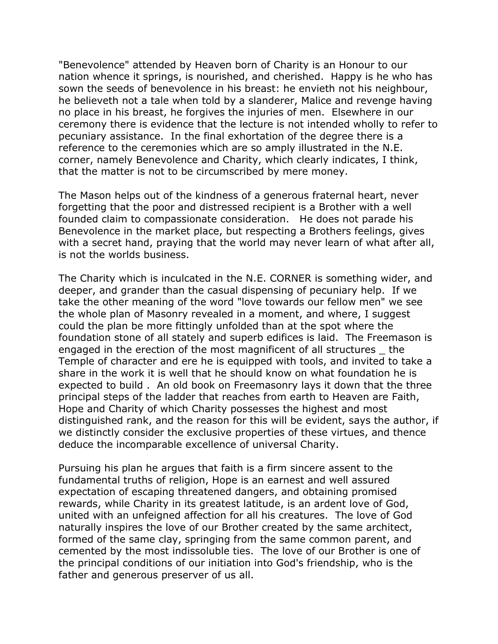"Benevolence" attended by Heaven born of Charity is an Honour to our nation whence it springs, is nourished, and cherished. Happy is he who has sown the seeds of benevolence in his breast: he envieth not his neighbour, he believeth not a tale when told by a slanderer, Malice and revenge having no place in his breast, he forgives the injuries of men. Elsewhere in our ceremony there is evidence that the lecture is not intended wholly to refer to pecuniary assistance. In the final exhortation of the degree there is a reference to the ceremonies which are so amply illustrated in the N.E. corner, namely Benevolence and Charity, which clearly indicates, I think, that the matter is not to be circumscribed by mere money.

The Mason helps out of the kindness of a generous fraternal heart, never forgetting that the poor and distressed recipient is a Brother with a well founded claim to compassionate consideration. He does not parade his Benevolence in the market place, but respecting a Brothers feelings, gives with a secret hand, praying that the world may never learn of what after all, is not the worlds business.

The Charity which is inculcated in the N.E. CORNER is something wider, and deeper, and grander than the casual dispensing of pecuniary help. If we take the other meaning of the word "love towards our fellow men" we see the whole plan of Masonry revealed in a moment, and where, I suggest could the plan be more fittingly unfolded than at the spot where the foundation stone of all stately and superb edifices is laid. The Freemason is engaged in the erection of the most magnificent of all structures \_ the Temple of character and ere he is equipped with tools, and invited to take a share in the work it is well that he should know on what foundation he is expected to build . An old book on Freemasonry lays it down that the three principal steps of the ladder that reaches from earth to Heaven are Faith, Hope and Charity of which Charity possesses the highest and most distinguished rank, and the reason for this will be evident, says the author, if we distinctly consider the exclusive properties of these virtues, and thence deduce the incomparable excellence of universal Charity.

Pursuing his plan he argues that faith is a firm sincere assent to the fundamental truths of religion, Hope is an earnest and well assured expectation of escaping threatened dangers, and obtaining promised rewards, while Charity in its greatest latitude, is an ardent love of God, united with an unfeigned affection for all his creatures. The love of God naturally inspires the love of our Brother created by the same architect, formed of the same clay, springing from the same common parent, and cemented by the most indissoluble ties. The love of our Brother is one of the principal conditions of our initiation into God's friendship, who is the father and generous preserver of us all.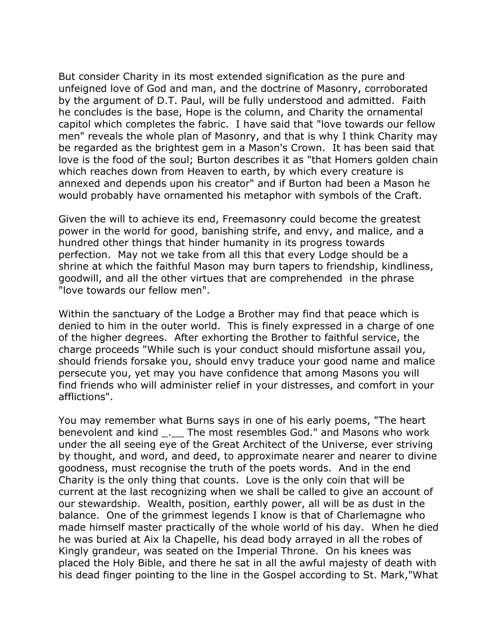But consider Charity in its most extended signification as the pure and unfeigned love of God and man, and the doctrine of Masonry, corroborated by the argument of D.T. Paul, will be fully understood and admitted. Faith he concludes is the base, Hope is the column, and Charity the ornamental capitol which completes the fabric. I have said that "love towards our fellow men" reveals the whole plan of Masonry, and that is why I think Charity may be regarded as the brightest gem in a Mason's Crown. It has been said that love is the food of the soul; Burton describes it as "that Homers golden chain which reaches down from Heaven to earth, by which every creature is annexed and depends upon his creator" and if Burton had been a Mason he would probably have ornamented his metaphor with symbols of the Craft.

Given the will to achieve its end, Freemasonry could become the greatest power in the world for good, banishing strife, and envy, and malice, and a hundred other things that hinder humanity in its progress towards perfection. May not we take from all this that every Lodge should be a shrine at which the faithful Mason may burn tapers to friendship, kindliness, goodwill, and all the other virtues that are comprehended in the phrase "love towards our fellow men".

Within the sanctuary of the Lodge a Brother may find that peace which is denied to him in the outer world. This is finely expressed in a charge of one of the higher degrees. After exhorting the Brother to faithful service, the charge proceeds "While such is your conduct should misfortune assail you, should friends forsake you, should envy traduce your good name and malice persecute you, yet may you have confidence that among Masons you will find friends who will administer relief in your distresses, and comfort in your afflictions".

You may remember what Burns says in one of his early poems, "The heart benevolent and kind \_.\_\_ The most resembles God." and Masons who work under the all seeing eye of the Great Architect of the Universe, ever striving by thought, and word, and deed, to approximate nearer and nearer to divine goodness, must recognise the truth of the poets words. And in the end Charity is the only thing that counts. Love is the only coin that will be current at the last recognizing when we shall be called to give an account of our stewardship. Wealth, position, earthly power, all will be as dust in the balance. One of the grimmest legends I know is that of Charlemagne who made himself master practically of the whole world of his day. When he died he was buried at Aix la Chapelle, his dead body arrayed in all the robes of Kingly grandeur, was seated on the Imperial Throne. On his knees was placed the Holy Bible, and there he sat in all the awful majesty of death with his dead finger pointing to the line in the Gospel according to St. Mark,"What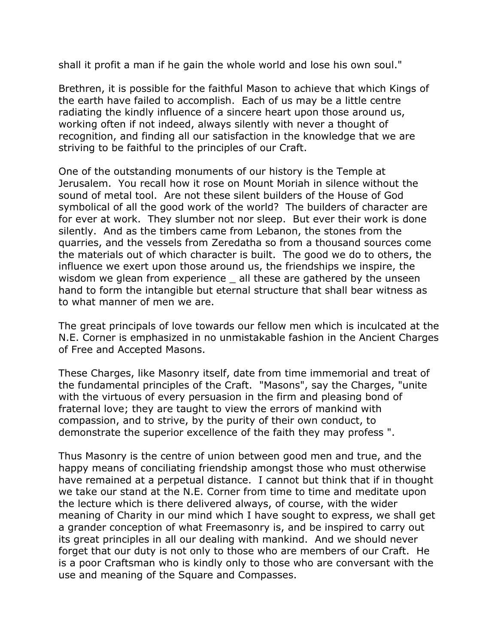shall it profit a man if he gain the whole world and lose his own soul."

Brethren, it is possible for the faithful Mason to achieve that which Kings of the earth have failed to accomplish. Each of us may be a little centre radiating the kindly influence of a sincere heart upon those around us, working often if not indeed, always silently with never a thought of recognition, and finding all our satisfaction in the knowledge that we are striving to be faithful to the principles of our Craft.

One of the outstanding monuments of our history is the Temple at Jerusalem. You recall how it rose on Mount Moriah in silence without the sound of metal tool. Are not these silent builders of the House of God symbolical of all the good work of the world? The builders of character are for ever at work. They slumber not nor sleep. But ever their work is done silently. And as the timbers came from Lebanon, the stones from the quarries, and the vessels from Zeredatha so from a thousand sources come the materials out of which character is built. The good we do to others, the influence we exert upon those around us, the friendships we inspire, the wisdom we glean from experience all these are gathered by the unseen hand to form the intangible but eternal structure that shall bear witness as to what manner of men we are.

The great principals of love towards our fellow men which is inculcated at the N.E. Corner is emphasized in no unmistakable fashion in the Ancient Charges of Free and Accepted Masons.

These Charges, like Masonry itself, date from time immemorial and treat of the fundamental principles of the Craft. "Masons", say the Charges, "unite with the virtuous of every persuasion in the firm and pleasing bond of fraternal love; they are taught to view the errors of mankind with compassion, and to strive, by the purity of their own conduct, to demonstrate the superior excellence of the faith they may profess ".

Thus Masonry is the centre of union between good men and true, and the happy means of conciliating friendship amongst those who must otherwise have remained at a perpetual distance. I cannot but think that if in thought we take our stand at the N.E. Corner from time to time and meditate upon the lecture which is there delivered always, of course, with the wider meaning of Charity in our mind which I have sought to express, we shall get a grander conception of what Freemasonry is, and be inspired to carry out its great principles in all our dealing with mankind. And we should never forget that our duty is not only to those who are members of our Craft. He is a poor Craftsman who is kindly only to those who are conversant with the use and meaning of the Square and Compasses.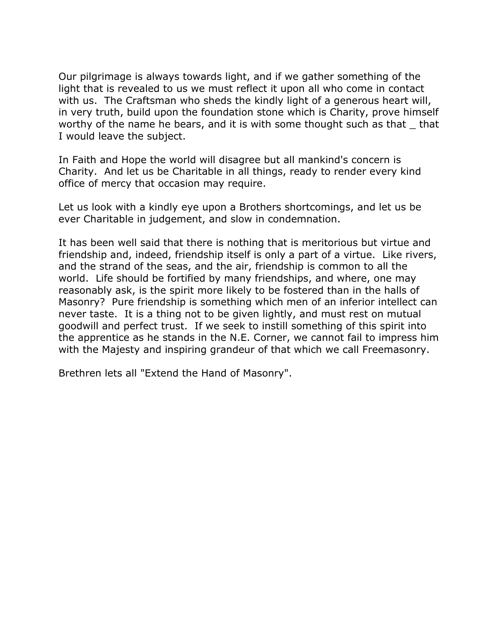Our pilgrimage is always towards light, and if we gather something of the light that is revealed to us we must reflect it upon all who come in contact with us. The Craftsman who sheds the kindly light of a generous heart will, in very truth, build upon the foundation stone which is Charity, prove himself worthy of the name he bears, and it is with some thought such as that that I would leave the subject.

In Faith and Hope the world will disagree but all mankind's concern is Charity. And let us be Charitable in all things, ready to render every kind office of mercy that occasion may require.

Let us look with a kindly eye upon a Brothers shortcomings, and let us be ever Charitable in judgement, and slow in condemnation.

It has been well said that there is nothing that is meritorious but virtue and friendship and, indeed, friendship itself is only a part of a virtue. Like rivers, and the strand of the seas, and the air, friendship is common to all the world. Life should be fortified by many friendships, and where, one may reasonably ask, is the spirit more likely to be fostered than in the halls of Masonry? Pure friendship is something which men of an inferior intellect can never taste. It is a thing not to be given lightly, and must rest on mutual goodwill and perfect trust. If we seek to instill something of this spirit into the apprentice as he stands in the N.E. Corner, we cannot fail to impress him with the Majesty and inspiring grandeur of that which we call Freemasonry.

Brethren lets all "Extend the Hand of Masonry".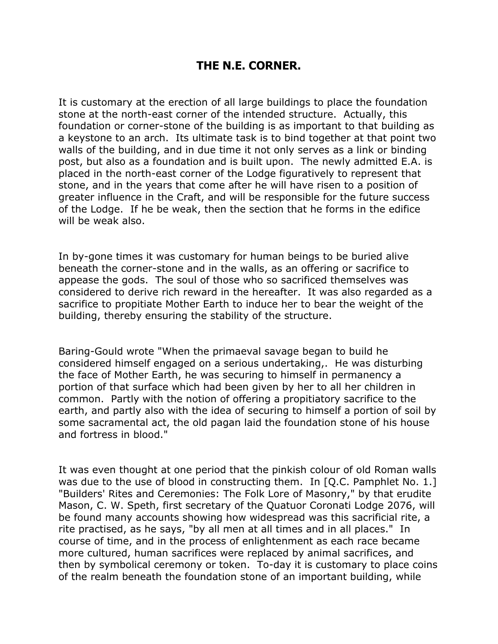## **THE N.E. CORNER.**

It is customary at the erection of all large buildings to place the foundation stone at the north-east corner of the intended structure. Actually, this foundation or corner-stone of the building is as important to that building as a keystone to an arch. Its ultimate task is to bind together at that point two walls of the building, and in due time it not only serves as a link or binding post, but also as a foundation and is built upon. The newly admitted E.A. is placed in the north-east corner of the Lodge figuratively to represent that stone, and in the years that come after he will have risen to a position of greater influence in the Craft, and will be responsible for the future success of the Lodge. If he be weak, then the section that he forms in the edifice will be weak also.

In by-gone times it was customary for human beings to be buried alive beneath the corner-stone and in the walls, as an offering or sacrifice to appease the gods. The soul of those who so sacrificed themselves was considered to derive rich reward in the hereafter. It was also regarded as a sacrifice to propitiate Mother Earth to induce her to bear the weight of the building, thereby ensuring the stability of the structure.

Baring-Gould wrote "When the primaeval savage began to build he considered himself engaged on a serious undertaking,. He was disturbing the face of Mother Earth, he was securing to himself in permanency a portion of that surface which had been given by her to all her children in common. Partly with the notion of offering a propitiatory sacrifice to the earth, and partly also with the idea of securing to himself a portion of soil by some sacramental act, the old pagan laid the foundation stone of his house and fortress in blood."

It was even thought at one period that the pinkish colour of old Roman walls was due to the use of blood in constructing them. In [Q.C. Pamphlet No. 1.] "Builders' Rites and Ceremonies: The Folk Lore of Masonry," by that erudite Mason, C. W. Speth, first secretary of the Quatuor Coronati Lodge 2076, will be found many accounts showing how widespread was this sacrificial rite, a rite practised, as he says, "by all men at all times and in all places." In course of time, and in the process of enlightenment as each race became more cultured, human sacrifices were replaced by animal sacrifices, and then by symbolical ceremony or token. To-day it is customary to place coins of the realm beneath the foundation stone of an important building, while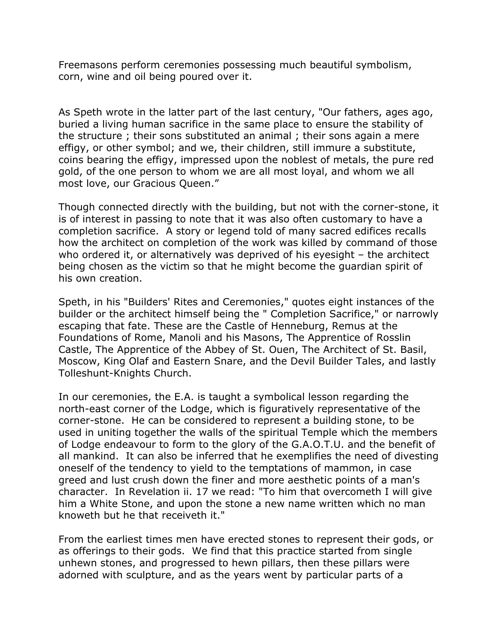Freemasons perform ceremonies possessing much beautiful symbolism, corn, wine and oil being poured over it.

As Speth wrote in the latter part of the last century, "Our fathers, ages ago, buried a living human sacrifice in the same place to ensure the stability of the structure ; their sons substituted an animal ; their sons again a mere effigy, or other symbol; and we, their children, still immure a substitute, coins bearing the effigy, impressed upon the noblest of metals, the pure red gold, of the one person to whom we are all most loyal, and whom we all most love, our Gracious Queen."

Though connected directly with the building, but not with the corner-stone, it is of interest in passing to note that it was also often customary to have a completion sacrifice. A story or legend told of many sacred edifices recalls how the architect on completion of the work was killed by command of those who ordered it, or alternatively was deprived of his eyesight – the architect being chosen as the victim so that he might become the guardian spirit of his own creation.

Speth, in his "Builders' Rites and Ceremonies," quotes eight instances of the builder or the architect himself being the " Completion Sacrifice," or narrowly escaping that fate. These are the Castle of Henneburg, Remus at the Foundations of Rome, Manoli and his Masons, The Apprentice of Rosslin Castle, The Apprentice of the Abbey of St. Ouen, The Architect of St. Basil, Moscow, King Olaf and Eastern Snare, and the Devil Builder Tales, and lastly Tolleshunt-Knights Church.

In our ceremonies, the E.A. is taught a symbolical lesson regarding the north-east corner of the Lodge, which is figuratively representative of the corner-stone. He can be considered to represent a building stone, to be used in uniting together the walls of the spiritual Temple which the members of Lodge endeavour to form to the glory of the G.A.O.T.U. and the benefit of all mankind. It can also be inferred that he exemplifies the need of divesting oneself of the tendency to yield to the temptations of mammon, in case greed and lust crush down the finer and more aesthetic points of a man's character. In Revelation ii. 17 we read: "To him that overcometh I will give him a White Stone, and upon the stone a new name written which no man knoweth but he that receiveth it."

From the earliest times men have erected stones to represent their gods, or as offerings to their gods. We find that this practice started from single unhewn stones, and progressed to hewn pillars, then these pillars were adorned with sculpture, and as the years went by particular parts of a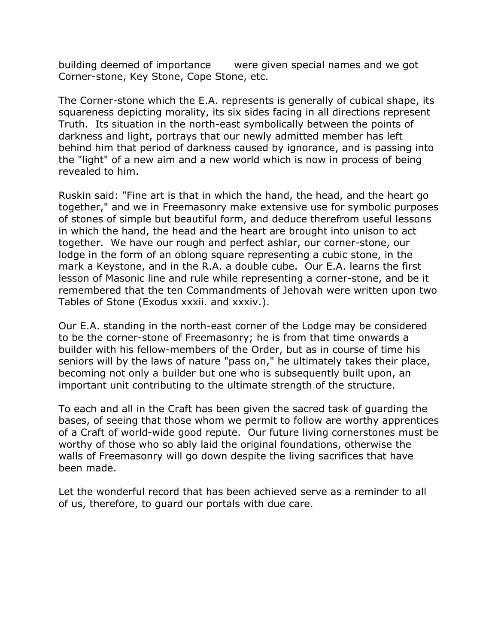building deemed of importance were given special names and we got Corner-stone, Key Stone, Cope Stone, etc.

The Corner-stone which the E.A. represents is generally of cubical shape, its squareness depicting morality, its six sides facing in all directions represent Truth. Its situation in the north-east symbolically between the points of darkness and light, portrays that our newly admitted member has left behind him that period of darkness caused by ignorance, and is passing into the "light" of a new aim and a new world which is now in process of being revealed to him.

Ruskin said: "Fine art is that in which the hand, the head, and the heart go together," and we in Freemasonry make extensive use for symbolic purposes of stones of simple but beautiful form, and deduce therefrom useful lessons in which the hand, the head and the heart are brought into unison to act together. We have our rough and perfect ashlar, our corner-stone, our lodge in the form of an oblong square representing a cubic stone, in the mark a Keystone, and in the R.A. a double cube. Our E.A. learns the first lesson of Masonic line and rule while representing a corner-stone, and be it remembered that the ten Commandments of Jehovah were written upon two Tables of Stone (Exodus xxxii. and xxxiv.).

Our E.A. standing in the north-east corner of the Lodge may be considered to be the corner-stone of Freemasonry; he is from that time onwards a builder with his fellow-members of the Order, but as in course of time his seniors will by the laws of nature "pass on," he ultimately takes their place, becoming not only a builder but one who is subsequently built upon, an important unit contributing to the ultimate strength of the structure.

To each and all in the Craft has been given the sacred task of guarding the bases, of seeing that those whom we permit to follow are worthy apprentices of a Craft of world-wide good repute. Our future living cornerstones must be worthy of those who so ably laid the original foundations, otherwise the walls of Freemasonry will go down despite the living sacrifices that have been made.

Let the wonderful record that has been achieved serve as a reminder to all of us, therefore, to guard our portals with due care.